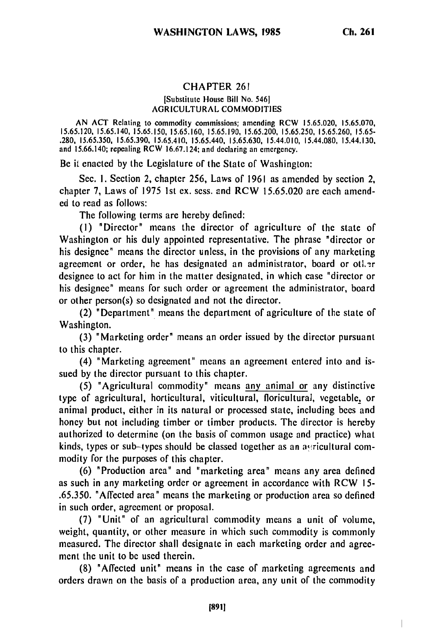## CHAPTER 261

## [Substitute House Bill No. 546J **AGRICULTURAL COMMODITIES**

**AN ACT** Relating to commodity commissions; amending RCW **15.65.020, 15.65.070, 15.65.120, 15.65.140, 15.65.150, 15.65.160, 15.65.190, 15.65.200, 15.65.250, 15.65.260, 15.65- .280, 15.65.350, 15.65.390, 15.65.410,** 15.65.440, **15.65.630,** 15.44.010, 15.44.080, 15.44.130, and **15.66.140;** repealing RCW 16.67.124; and declaring an emergency.

Be it enacted **by** the Legislature of the State of Washington:

Sec. I. Section 2, chapter 256, Laws of 1961 as amended by section 2, chapter **7,** Laws of **1975** 1st ex. sess. and RCW 15.65.020 are each amended to read as follows:

The following terms are hereby defined:

**(1)** "Director" means the director of agriculture of the state of Washington or his duly appointed representative. The phrase "director or his designee" means the director unless, in the provisions of any marketing agreement or order, he has designated an administrator, board or other designee to act for him in the matter designated, in which case "director or his designee" means for such order or agreement the administrator, board or other person(s) so designated and not the director.

(2) "Department" means the department of agriculture of the state of Washington.

**(3)** "Marketing order" means an order issued by the director pursuant to this chapter.

(4) "Marketing agreement" means an agreement entered into and issued by the director pursuant to this chapter.

(5) "Agricultural commodity" means any animal or any distinctive type of agricultural, horticultural, viticultural, floricultural, vegetable, or animal product, either in its natural or processed state, including bees and honey but not including timber or timber products. The director is hereby authorized to determine (on the basis of common usage and practice) what kinds, types or sub-types should be classed together as an astricultural commodity for the purposes of this chapter.

**(6)** "Production area" and "marketing area" means any area defined as such in any marketing order or agreement in accordance with RCW **15-** .65.350. "Affected area" means the marketing or production area so defined in such order, agreement or proposal.

**(7)** "Unit" of an agricultural commodity means a unit of volume, weight, quantity, or other measure in which such commodity is commonly measured. The director shall designate in each marketing order and agreement the unit to **be** used therein.

(8) "Affected unit" means in the case of marketing agreements and orders drawn on the basis of a production area, any unit of the commodity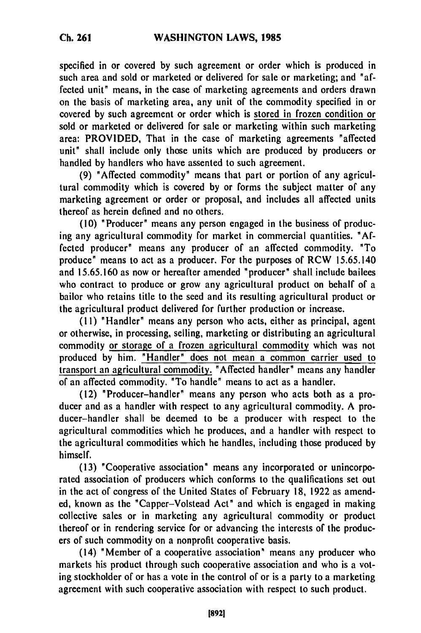specified in or covered by such agreement or order which is produced in such area and sold or marketed or delivered for sale or marketing; and "affected unit" means, in the case of marketing agreements and orders drawn on the basis of marketing area, any unit of the commodity specified in or covered by such agreement or order which is stored in frozen condition or sold or marketed or delivered for sale or marketing within such marketing area: PROVIDED, That in the case of marketing agreements 'affected unit" shall include only those units which are produced by producers or handled by handlers who have assented to such agreement.

**(9)** 'Affected commodity" means that part or portion of any agricultural commodity which is covered by or forms the subject matter of any marketing agreement or order or proposal, and includes all affected units thereof as herein defined and no others.

(10) "Producer" means any person engaged in the business of producing any agricultural commodity for market in commercial quantities. 'Affected producer' means any producer of an affected commodity. 'To produce' means to act as a producer. For the purposes of RCW 15.65.140 and 15.65.160 as now or hereafter amended 'producer" shall include bailees who contract to produce or grow any agricultural product on behalf of a bailor who retains title to the seed and its resulting agricultural product or the agricultural product delivered for further production or increase.

(11) 'Handler' means any person who acts, either as principal, agent or otherwise, in processing, selling, marketing or distributing an agricultural commodity or storage of a frozen agricultural commodity which was not produced by him. 'Handler" does not mean a common carrier used to transport an agricultural commodity. 'Affected handler' means any handler of an affected commodity. 'To handle' means to act as a handler.

(12) "Producer-handler" means any person who acts both as a producer and as a handler with respect to any agricultural commodity. A producer-handler shall be deemed to be a producer with respect to the agricultural commodities which he produces, and a handler with respect to the agricultural commodities which he handles, including those produced by himself.

(13) 'Cooperative association' means any incorporated or unincorporated association of producers which conforms to the qualifications set out in the act of congress of the United States of February 18, 1922 as amended, known as the "Capper-Volstead Act' and which is engaged in making collective sales or in marketing any agricultural commodity or product thereof or in rendering service for or advancing the interests of the producers of such commodity on a nonprofit cooperative basis.

(14) 'Member of a cooperative association' means any producer who markets his product through such cooperative association and who is a voting stockholder of or has a vote in the control of or is a party to a marketing agreement with such cooperative association with respect to such product.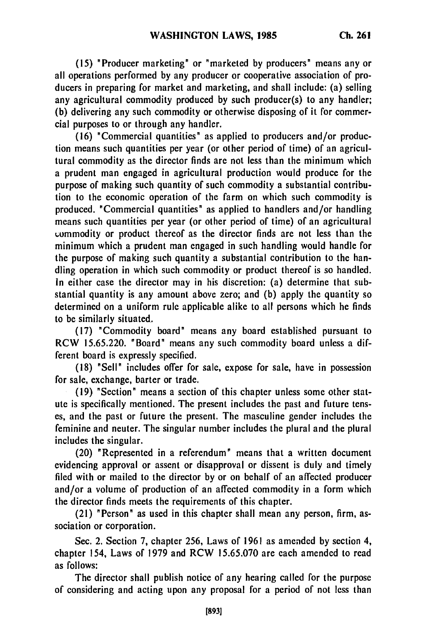**(15)** "Producer marketing" or "marketed **by** producers" means any or all operations performed by any producer or cooperative association of producers in preparing for market and marketing, and shall include: (a) selling any agricultural commodity produced by such producer(s) to any handler; (b) delivering any such commodity or otherwise disposing of it for commercial purposes to or through any handler.

(16) "Commercial quantities" as applied to producers and/or production means such quantities per year (or other period of time) of an agricultural commodity as the director finds are not less than the minimum which a prudent man engaged in agricultural production would produce for the purpose of making such quantity of such commodity a substantial contribution to the economic operation of the farm on which such commodity is produced. "Commercial quantities" as applied to handlers and/or handling means such quantities per year (or other period of time) of an agricultural commodity or product thereof as the director finds are not less than the minimum which a prudent man engaged in such handling would handle for the purpose of making such quantity a substantial contribution to the handling operation in which such commodity or product thereof is so handled. In either case the director may in his discretion: (a) determine that substantial quantity is any amount above zero; and (b) apply the quantity so determined on a uniform rule applicable alike to all persons which he finds to be similarly situated.

(17) "Commodity board" means any board established pursuant to RCW 15.65.220. 'Board" means any such commodity board unless a different board is expressly specified.

(18) 'Sell" includes offer for sale, expose for sale, have in possession for sale, exchange, barter or trade.

(19) "Section" means a section of this chapter unless some other statute is specifically mentioned. The present includes the past and future tenses, and the past or future the present. The masculine gender includes the feminine and neuter. The singular number includes the plural and the plural includes the singular.

(20) "Represented in a referendum" means that a written document evidencing approval or assent or disapproval or dissent is duly and timely filed with or mailed to the director by or on behalf of an affected producer and/or a volume of production of an affected commodity in a form which the director finds meets the requirements of this chapter.

(21) "Person" as used in this chapter shall mean any person, firm, association or corporation.

Sec. 2. Section 7, chapter 256, Laws of 1961 as amended by section 4, chapter 154, Laws of 1979 and RCW 15.65.070 are each amended to read as follows:

The director shall publish notice of any hearing called for the purpose of considering and acting upon any proposal for a period of not less than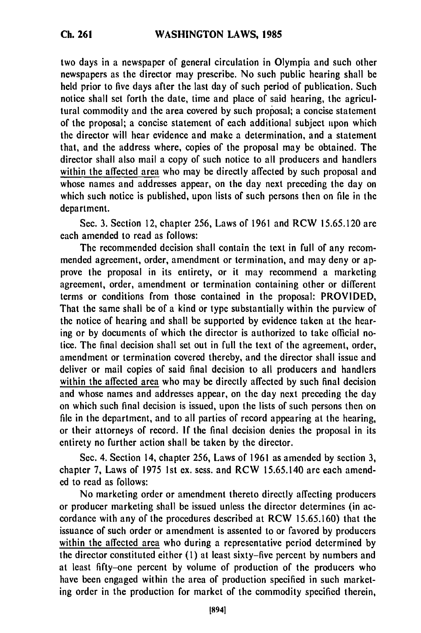two days in a newspaper of general circulation in Olympia and such other newspapers as the director may prescribe. No such public hearing shall be held prior to five days after the last day of such period of publication. Such notice shall set forth the date, time and place of said hearing, the agricultural commodity and the area covered by such proposal; a concise statement of the proposal; a concise statement of each additional subject upon which the director will hear evidence and make a determination, and a statement that, and the address where, copies of the proposal may be obtained. The director shall also mail a copy of such notice to all producers and handlers within the affected area who may be directly affected by such proposal and whose names and addresses appear, on the day next preceding the day on which such notice is published, upon lists of such persons then on file in the department.

Sec. 3. Section 12, chapter 256, Laws of 1961 and RCW 15.65.120 are each amended to read as follows:

The recommended decision shall contain the text in full of any recommended agreement, order, amendment or termination, and may deny or approve the proposal in its entirety, or it may recommend a marketing agreement, order, amendment or termination containing other or different terms or conditions from those contained in the proposal: PROVIDED, That the same shall be of a kind or type substantially within the purview of the notice of hearing and shall be supported by evidence taken at the hearing or by documents of which the director is authorized to take official notice. The final decision shall set out in full the text of the agreement, order, amendment or termination covered thereby, and the director shall issue and deliver or mail copies of said final decision to all producers and handlers within the affected area who may be directly affected by such final decision and whose names and addresses appear, on the day next preceding the day on which such final decision is issued, upon the lists of such persons then on file in the department, and to all parties of record appearing at the hearing, or their attorneys of record. If the final decision denies the proposal in its entirety no further action shall be taken by the director.

Sec. 4. Section 14, chapter 256, Laws of 1961 as amended by section 3, chapter 7, Laws of 1975 1st ex. sess. and RCW 15.65.140 are each amended to read as follows:

No marketing order or amendment thereto directly affecting producers or producer marketing shall be issued unless the director determines (in accordance with any of the procedures described at RCW 15.65.160) that the issuance of such order or amendment is assented to or favored by producers within the affected area who during a representative period determined by the director constituted either **(1)** at least sixty-five percent by numbers and at least fifty-one percent by volume of production of the producers who have been engaged within the area of production specified in such marketing order in the production for market of the commodity specified therein,

**Ch. 261**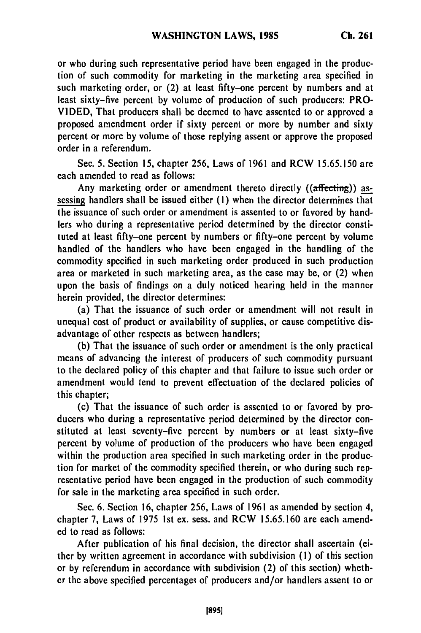or who during such representative period have been engaged in the production of such commodity for marketing in the marketing area specified in such marketing order, or (2) at least fifty-one percent by numbers and at least sixty-five percent by volume of production of such producers: PRO-VIDED, That producers shall be deemed to have assented to or approved a proposed amendment order if sixty percent or more by number and sixty percent or more by volume of those replying assent or approve the proposed order in a referendum.

Sec. 5. Section 15, chapter 256, Laws of 1961 and RCW 15.65.150 are each amended to read as follows:

Any marketing order or amendment thereto directly  $((\text{affecting}))$  assessing handlers shall be issued either (I) when the director determines that the issuance of such order or amendment is assented to or favored by handlers who during a representative period determined by the director constituted at least fifty-one percent **by** numbers or fifty-one percent by volume handled of the handlers who have been engaged in the handling of the commodity specified in such marketing order produced in such production area or marketed in such marketing area, as the case may be, or (2) when upon the basis of findings on a duly noticed hearing held in the manner herein provided, the director determines:

(a) That the issuance of such order or amendment will not result in unequal cost of product or availability of supplies, or cause competitive disadvantage of other respects as between handlers;

(b) That the issuance of such order or amendment is the only practical means of advancing the interest of producers of such commodity pursuant to the declared policy of this chapter and that failure to issue such order or amendment would tend to prevent effectuation of the declared policies of this chapter;

(c) That the issuance of such order is assented to or favored by producers who during a representative period determined by the director constituted at least seventy-five percent by numbers or at least sixty-five percent by volume of production of the producers who have been engaged within the production area specified in such marketing order in the production for market of the commodity specified therein, or who during such representative period have been engaged in the production of such commodity for sale in the marketing area specified in such order.

Sec. 6. Section 16, chapter 256, Laws of 1961 as amended by section 4, chapter 7, Laws of 1975 Ist ex. sess. and RCW 15.65.160 are each amended to read as follows:

After publication of his final decision, the director shall ascertain (either by written agreement in accordance with subdivision **(1)** of this section or by referendum in accordance with subdivision (2) of this section) whether the above specified percentages of producers and/or handlers assent to or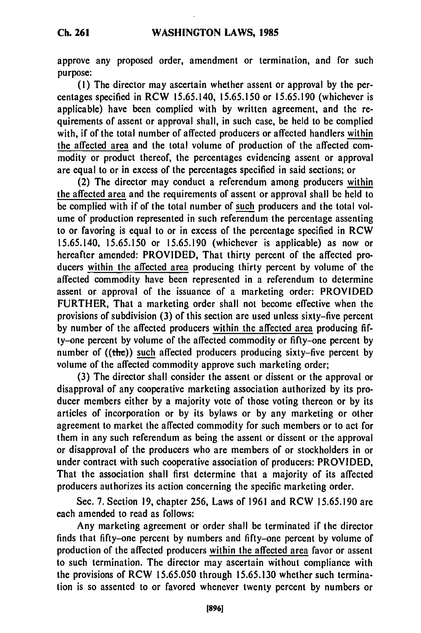approve any proposed order, amendment or termination, and for such purpose:

**(1)** The director may ascertain whether assent or approval **by** the percentages specified in RCW **15.65.140, 15.65.150** or **15.65.190** (whichever is applicable) have been complied with **by** written agreement, and the requirements of assent or approval shall, in such case, be held to be complied with, if of the total number of affected producers or affected handlers within the affected area and the total volume of production of the affected commodity or product thereof, the percentages evidencing assent or approval are equal to or in excess of the percentages specified in said sections; or

(2) The director may conduct a referendum among producers within the affected area and the requirements of assent or approval shall be held to be complied with if of the total number of such producers and the total volume of production represented in such referendum the percentage assenting to or favoring is equal to or in excess of the percentage specified in RCW 15.65.140, 15.65.150 or 15.65.190 (whichever is applicable) as now or hereafter amended: PROVIDED, That thirty percent of the affected producers within the affected area producing thirty percent **by** volume of the affected commodity have been represented in a referendum to determine assent or approval of the issuance of a marketing order: PROVIDED FURTHER, That a marketing order shall not become effective when the provisions of subdivision **(3)** of this section are used unless sixty-five percent **by** number of the affected producers within the affected area producing **fif**ty-one percent **by** volume of the affected commodity or fifty-one percent **by** number of ((the)) such affected producers producing sixty-five percent **by** volume of the affected commodity approve such marketing order;

**(3)** The director shall consider the assent or dissent or the approval or disapproval of any cooperative marketing association authorized **by** its producer members either **by** a majority vote of those voting thereon or **by** its articles of incorporation or **by** its bylaws or **by** any marketing or other agreement to market the affected commodity for such members or to act for them in any such referendum as being the assent or dissent or the approval or disapproval of the producers who are members of or stockholders in or under contract with such cooperative association of producers: PROVIDED, That the association shall first determine that a majority of its affected producers authorizes its action concerning the specific marketing order.

Sec. 7. Section 19, chapter 256, Laws of 1961 and RCW 15.65.190 are each amended to read as follows:

Any marketing agreement or order shall be terminated if the director finds that fifty-one percent **by** numbers and fifty-one percent **by** volume of production of the affected producers within the affected area favor or assent to such termination. The director may ascertain without compliance with the provisions of RCW 15.65.050 through 15.65.130 whether such termination is so assented to or favored whenever twenty percent **by** numbers or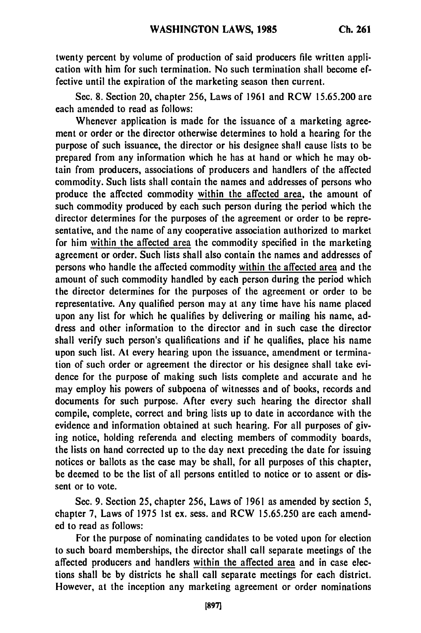twenty percent **by** volume of production of said producers file written application with him for such termination. No such termination shall become effective until the expiration of the marketing season then current.

Sec. **8.** Section 20, chapter **256,** Laws of **1961** and RCW **15.65.200** are each amended to read as follows:

Whenever application is made for the issuance of a marketing agreement or order or the director otherwise determines to hold a hearing for the purpose of such issuance, the director or his designee shall cause lists to be prepared from any information which he has at hand or which he may obtain from producers, associations of producers and handlers of the affected commodity. Such lists shall contain the names and addresses of persons who produce the affected commodity within the affected area, the amount of such commodity produced **by** each such person during the period which the director determines for the purposes of the agreement or order to be representative, and the name of any cooperative association authorized to market for him within the affected area the commodity specified in the marketing agreement or order. Such lists shall also contain the names and addresses of persons who handle the affected commodity within the affected area and the amount of such commodity handled **by** each person during the period which the director determines for the purposes of the agreement or order to be representative. Any qualified person may at any time have his name placed upon any list for which he qualifies **by** delivering or mailing his name, address and other information to the director and in such case the director shall verify such person's qualifications and if he qualifies, place his name upon such list. At every hearing upon the issuance, amendment or termination of such order or agreement the director or his designee shall take evidence for the purpose of making such lists complete and accurate and he may employ his powers of subpoena of witnesses and of books, records and documents for such purpose. After every such hearing the director shall compile, complete, correct and bring lists up to date in accordance with the evidence and information obtained at such hearing. For all purposes of giving notice, holding referenda and electing members of commodity boards, the lists on hand corrected up to the day next preceding the date for issuing notices or ballots as the case may be shall, for all purposes of this chapter, be deemed to be the list of all persons entitled to notice or to assent or dissent or to vote.

Sec. **9.** Section **25,** chapter **256,** Laws of **1961** as amended **by** section **5,** chapter **7,** Laws of **1975 1st** ex. sess. and RCW **15.65.250** are each amended to read as follows:

For the purpose of nominating candidates to be voted upon for election to such board memberships, the director shall call separate meetings of the affected producers and handlers within the affected area and in case elections shall be **by** districts he shall call separate meetings for each district. However, at the inception any marketing agreement or order nominations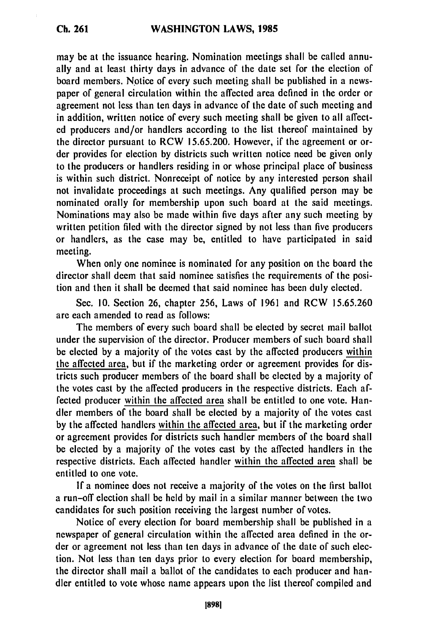## **Ch. 261**

may be at the issuance hearing. Nomination meetings shall be called annually and at least thirty days in advance of the date set for the election of board members. Notice of every such meeting shall be published in a newspaper of general circulation within the affected area defined in the order or agreement not less than ten days in advance of the date of such meeting and in addition, written notice of every such meeting shall be given to all affected producers and/or handlers according to the list thereof maintained **by** the director pursuant to RCW **15.65.200.** However, if the agreement or order provides for election **by** districts such written notice need be given only to the producers or handlers residing in or whose principal place of business is within such district. Nonreceipt of notice **by** any interested person shall not invalidate proceedings at such meetings. Any qualified person may be nominated orally for membership upon such board at the said meetings. Nominations may also be made within five days after any such meeting **by** written petition filed with the director signed **by** not less than five producers or handlers, as the case may be, entitled to have participated in said meeting.

When only one nominee is nominated for any position on the board the director shall deem that said nominee satisfies the requirements of the position and then it shall be deemed that said nominee has been duly elected.

Sec. **10.** Section **26,** chapter **256,** Laws of **1961** and RCW **15.65.260** are each amended to read as follows:

The members of every such board shall be elected **by** secret mail ballot under the supervision of the director. Producer members of such board shall be elected **by** a majority of the votes cast **by** the affected producers within the affected area, but if the marketing order or agreement provides for districts such producer members of the board shall be elected **by** a majority of the votes cast **by** the affected producers in the respective districts. Each affected producer within the affected area shall be entitled to one vote. Handler members of the board shall be elected **by** a majority of the votes cast **by** the affected handlers within the affected area, but if the marketing order or agreement provides for districts such handler members of the board shall be elected **by** a majority of the votes cast **by** the affected handlers in the respective districts. Each affected handler within the affected area shall be entitled to one vote.

**If** a nominee does not receive a majority of the votes on the first ballot a run-off election shall be held **by** mail in a similar manner between the two candidates for such position receiving the largest number of votes.

Notice of every election for board membership shall be published in a newspaper of general circulation within the affected area defined in the order or agreement not less than ten days in advance of the date of such election. Not less than ten days prior to every election for board membership, the director shall mail a ballot of the candidates to each producer and handler entitled to vote whose name appears upon the list thereof compiled and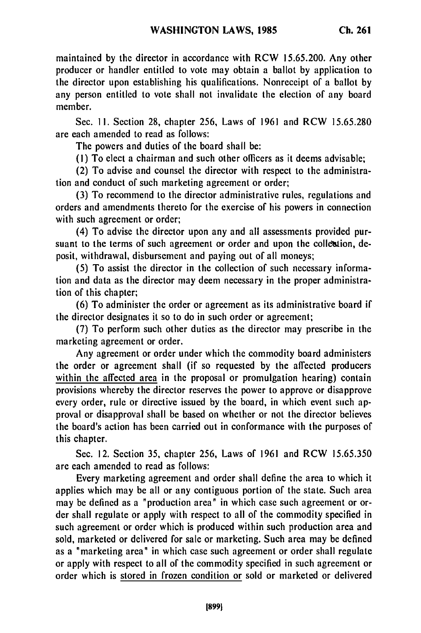maintained **by** the director in accordance with RCW **15.65.200.** Any other producer or handler entitled to vote may obtain a ballot **by** application to the director upon establishing his qualifications. Nonrecceipt of a ballot **by** any person entitled to vote shall not invalidate the election of any board member.

Sec. **11.** Section **28,** chapter **256,** Laws of **1961** and RCW **15.65.280** are each amended to read as follows:

The powers and duties of the board shall be:

**(1)** To elect a chairman and such other officers as it deems advisable;

(2) To advise and counsel the director with respect to the administration and conduct of such marketing agreement or order;

**(3)** To recommend to the director administrative rules, regulations and orders and amendments thereto for the exercise of his powers in connection with such agreement or order;

(4) To advise the director upon any and all assessments provided pursuant to the terms of such agreement or order and upon the collection, deposit, withdrawal, disbursement and paying out of all moneys;

**(5)** To assist the director in the collection of such necessary information and data as the director may deem necessary in the proper administration of this chapter;

**(6)** To administer the order or agreement as its administrative board if the director designates it so to do in such order or agreement;

**(7)** To perform such other duties as the director may prescribe in the marketing agreement or order.

Any agreement or order under which the commodity board administers the order or agreement shall (if so requested **by** the affected producers within the affected area in the proposal or promulgation hearing) contain provisions whereby the director reserves the power to approve or disapprove every order, rule or directive issued **by** the board, in which event such approval or disapproval shall **be** based on whether or not the director believes the board's action has been carried out in conformance with the purposes of this chapter.

Sec. 12. Section **35,** chapter **256,** Laws of **1961** and RCW **15.65.350** are each amended to read as follows:

Every marketing agreement and order shall define the area to which it applies which may be all or any contiguous portion of the state. Such area may be defined as a "production area" in which case such agreement or order shall regulate or apply with respect to all of the commodity specified in such agreement or order which is produced within such production area and sold, marketed or delivered for sale or marketing. Such area may be defined as a "marketing area" in which case such agreement or order shall regulate or apply with respect to all of the commodity specified in such agreement or order which is stored in frozen condition or sold or marketed or delivered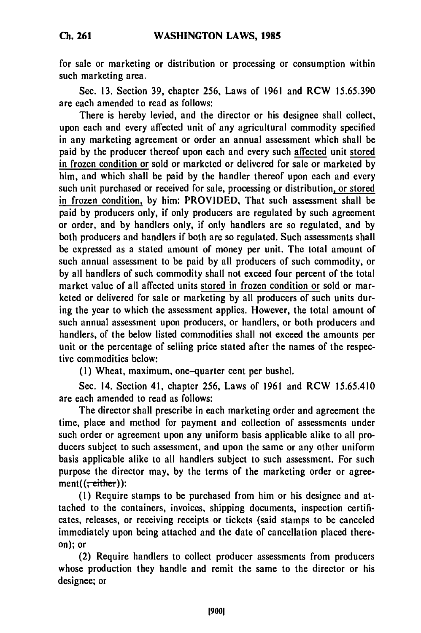for sale or marketing or distribution or processing or consumption within such marketing area.

Sec. **13.** Section **39,** chapter **256,** Laws of **1961** and RCW **15.65.390** are each amended to read as follows:

There is hereby levied, and the director or his designee shall collect, upon each and every affected unit of any agricultural commodity specified in any marketing agreement or order an annual assessment which shall be paid **by** the producer thereof upon each and every such affected unit stored in frozen condition or sold or marketed or delivered for **sale** or marketed **by** him, and which shall be paid **by** the handler thereof upon each and every such unit purchased or received for sale, processing or distribution, or stored in frozen condition, **by** him: PROVIDED, That such assessment shall be paid **by** producers only, if only producers are regulated **by** such agreement or order, and **by** handlers only, if only handlers are so regulated, and **by** both producers and handlers if both are so regulated. Such assessments shall be expressed as a stated amount of money per unit. The total amount of such annual assessment to be paid **by** all producers of such commodity, or **by** all handlers of such commodity shall not exceed four percent of the total market value of all affected units stored in frozen condition or sold or marketed or delivered for sale or marketing **by** all producers of such units during the year to which the assessment applies. However, the total amount of such annual assessment upon producers, or handlers, or both producers and handlers, of the below listed commodities shall not exceed the amounts per unit or the percentage of selling price stated after the names of the respective commodities below:

**(1)** Wheat, maximum, one-quarter cent per bushel.

Sec. 14. Section 41, chapter 256, Laws of 1961 and RCW 15.65.410 are each amended to read as follows:

The director shall prescribe in each marketing order and agreement the time, place and method for payment and collection of assessments under such order or agreement upon any uniform basis applicable alike to all producers subject to such assessment, and upon the same or any other uniform basis applicable alike to all handlers subject to such assessment. For such purpose the director may, by the terms of the marketing order or agree $ment((\frac{1}{1 + c} + \frac{1}{1 + c}))$ :

(1) Require stamps to be purchased from him or his designee and attached to the containers, invoices, shipping documents, inspection certificates, releases, or receiving receipts or tickets (said stamps to be canceled immediately upon being attached and the date of cancellation placed thereon); or

(2) Require handlers to collect producer assessments from producers whose production they handle and remit the same to the director or his designee; or

[900]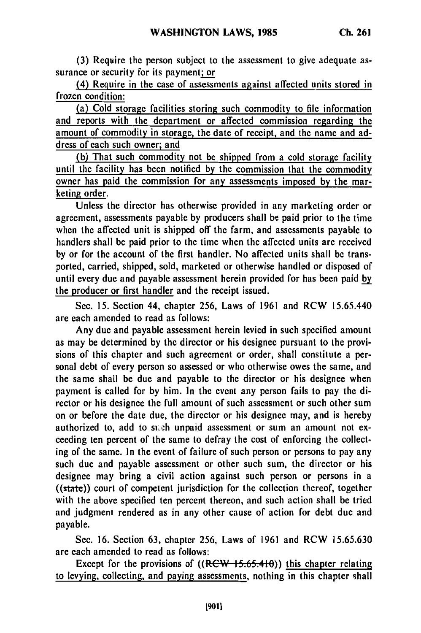**(3)** Require the person subject to the assessment to give adequate assurance or security for its payment; or

(4) Require in the case of assessments against affected units stored in frozen condition:

(a) Cold storage facilities storing such commodity to file information and reports with the department or affected commission regarding the amount of commodity in storage, the date of receipt, and the name and address of each such owner; and

**(b)** That such commodity not be shipped from a cold storage facility until the facility has been notified **by** the commission that the commodity owner has paid the commission for any assessments imposed **by** the marketing order.

Unless the director has otherwise provided in any marketing order or agreement, assessments payable **by** producers shall **be** paid prior to the time when the affected unit is shipped off the farm, and assessments payable to handlers shall be paid prior to the time when the affected units are received **by** or for the account of the first handler. No affected units shall be transported, carried, shipped, sold, marketed or otherwise handled or disposed of until every due and payable assessment herein provided for has been paid **by** the producer or first handler and the receipt issued.

Sec. **15.** Section 44, chapter **256,** Laws of **1961** and RCW 15.65.440 are each amended to read as follows:

Any due and payable assessment herein levied in such specified amount as may be determined **by** the director or his designee pursuant to the provisions of this chapter and such agreement or order, shall constitute a personal debt of every person so assessed or who otherwise owes the same, and the same shall be due and payable to the director or his designee when payment is called for **by** him. In the event any person fails to pay the director or his designee the full amount of such assessment or such other sum on or before the date due, the director or his designee may, and is hereby authorized to, add to such unpaid assessment or sum an amount not exceeding ten percent of the same to defray the cost of enforcing the collecting of the same. In the event of failure of such person or persons to pay any such due and payable assessment or other such sum, the director or his designee may bring a civil action against such person or persons in a ((state)) court of competent jurisdiction for the collection thereof, together with the above specified ten percent thereon, and such action shall be tried and judgment rendered as in any other cause of action for debt due and payable.

Sec. **16.** Section **63,** chapter **256,** Laws of **1961** and RCW **15.65.630** are each amended to read as follows:

Except for the provisions of ((RCW 15.65.410)) this chapter relating to levying, collecting, and paying assessments, nothing in this chapter shall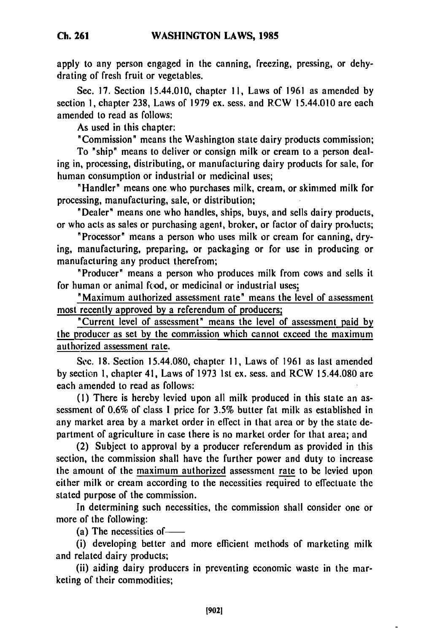apply to any person engaged in the canning, freezing, pressing, or dehydrating of fresh fruit or vegetables.

Sec. **17.** Section 15.44.010, chapter **11,** Laws of **1961** as amended by section **1,** chapter 238, Laws of **1979** ex. sess. and R.CW 15.44.010 are each amended to read as follows:

As used in this chapter:

"Commission" means the Washington state dairy products commission;

To "ship" means to deliver or consign milk or cream to a person dealing in, processing, distributing, or manufacturing dairy products for sale, for human consumption or industrial or medicinal uses;

"Handler" means one who purchases milk, cream, or skimmed milk for processing, manufacturing, sale, or distribution;

"Dealer" means one who handles, ships, buys, and sells dairy products, or who acts as sales or purchasing agent, broker, or factor of dairy products;

"Processor" means a person who uses milk or cream for canning, drying, manufacturing, preparing, or packaging or for use in producing or manufacturing any product therefrom;

"Producer' means a person who produces milk from cows and sells it for human or animal fcod, or medicinal or industrial uses;

"Maximum authorized assessment rate" means the level of assessment most recently approved **by** a referendum of producers;

"Current level of assessment" means the level of assessment paid **by** the producer as set **by** the commission which cannot exceed the maximum authorized assessment rate.

Sc. 18. Section 15.44.080, chapter **I1,** Laws of **1961** as last amended **by** section 1, chapter 41, Laws of **1973** 1st ex. sess. and RCW 15.44.080 are each amended to read as follows:

**(1)** There is hereby levied upon all milk produced in this state an assessment of 0.6% of class **I** price for **3.5%** butter fat milk as established in any market area **by** a market order in effect in that area or **by** the state department of agriculture in case there is no market order for that area; and

(2) Subject to approval **by** a producer referendum as provided in this section, the commission shall have the further power and duty to increase the amount of the maximum authorized assessment rate to be levied upon either milk or cream according to the necessities required to effectuate the stated purpose of the commission.

In determining such necessities, the commission shall consider one or more of the following:

(a) The necessities of-

(i) developing better and more efficient methods of marketing milk and related dairy products;

(ii) aiding dairy producers in preventing economic waste in the marketing of their commodities;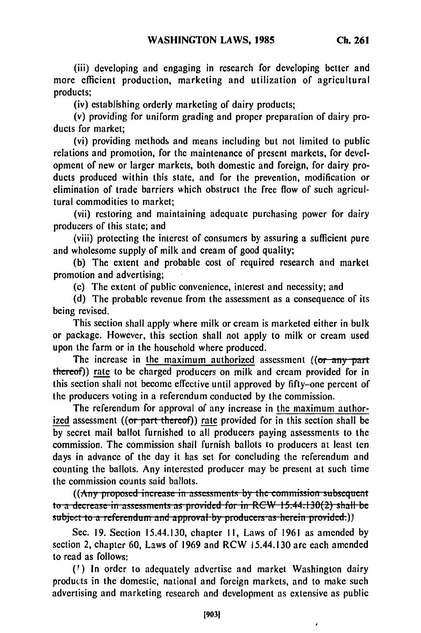(iii) developing and engaging in research for developing better and more efficient production, marketing and utilization of agricultural products;

(iv) establishing orderly marketing of dairy products;

(v) providing for uniform grading and proper preparation of dairy products for market;

(vi) providing methods and means including but not limited to public relations and promotion, for the maintenance of present markets, for development of new or larger markets, both domestic and foreign, for dairy products produced within this state, and for the prevention, modification or elimination of trade barriers which obstruct the free flow of such agricultural commodities to market;

(vii) restoring and maintaining adequate purchasing power for dairy producers of this state; and

(viii) protecting the interest of consumers by assuring a sufficient pure and wholesome supply of milk and cream of good quality;

(b) The extent and probable cost of required research and market promotion and advertising;

(c) The extent of public convenience, interest and necessity; and

(d) The probable revenue from the assessment as a consequence of its being revised.

This section shall apply where milk or cream is marketed either in bulk or package. However, this section shall not apply to milk or cream used upon the farm or in the household where produced.

The increase in the maximum authorized assessment  $(6r - any-part$ thereof)) rate to be charged producers on milk and cream provided for in this section shall not become effective until approved by fifty-one percent of the producers voting in a referendum conducted by the commission.

The referendum for approval of any increase in the maximum authorized assessment (( $or$  part-thereof)) rate provided for in this section shall be by secret mail ballot furnished to all producers paying assessments to the commission. The commission shall furnish ballots to producers at least ten days in advance of the day it has set for concluding the referendum and counting the ballots. Any interested producer may be present at such time the commission counts said ballots.

ommission coants said cancts.<br>((<del>Any proposed increase in assessments by the commission subscribent</del> **t** (*txny* proposed increase in assessments by the commission subsequent **subject to a decrease in assessments as provided for in RCW 15.44.130(2) shall be subject to a referendum and approval by producers as herein provided.))** 

Sec. 19. Section 15.44.130, chapter 11, Laws of 1961 as amended by section 2, chapter 60, Laws of 1969 and RCW 15.44.130 are each amended to read as follows:

**(')** In order to adequately advertise and market Washington dairy products in the domestic, national and foreign markets, and to make such advertising and marketing research and development as extensive as public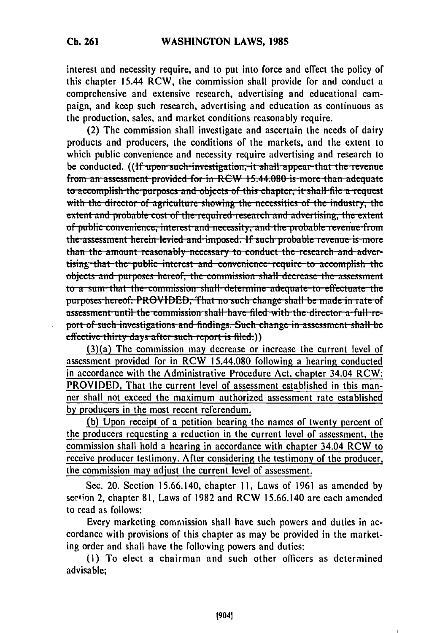interest and necessity require, and to put into force and effect the policy of this chapter 15.44 RCW, the commission shall provide for and conduct a comprehensive and extensive research, advertising and educational campaign, and keep such research, advertising and education as continuous as the production, sales, and market conditions reasonably require.

(2) The commission shall investigate and ascertain the needs of dairy products and producers, the conditions of the markets, and the extent to which public convenience and necessity require advertising and research to be conducted. **((If upon such investigation, it shall appear that the revenue** from an assessment provided for in RCW 15.44.080 is more than adequate **to accomplish the purposes and objects of this chapter, it shall file a request** with the director of agriculture showing the necessities of the industry, the **extent and probable cost of the required research and advertising, the extent of public convenience, interest and necessity, and the probable revenue from** the assessment herein levied and imposed. If such probable revenue is more than the amount reasonably necessary to conduct the research and advertising that the public interest and convenience require to accomplish the objects and purposes hereof, the commission shall decrease the assessment to a sum-that the commission shall determine adequate to effectuate the **purposes hereof: PROVIDED, That no such change shall be made in rate of** assessment until the commission shall have filed with the director a full re**port of such investigations and findings. Such change in assessment shall be** effective thirty days after such report is filed.))<br>(3)(a) The commission may decrease or increase the current level of

assessment provided for in RCW 15.44.080 following a hearing conducted in accordance with the Administrative Procedure Act, chapter 34.04 RCW: PROVIDED, That the current level of assessment established in this manner shall not exceed the maximum authorized assessment rate established **by** producers in the most recent referendum.

**(b)** Upon receipt of a petition bearing the names of twenty percent of the producers requesting a reduction in the current level of assessment, the commission shall hold a hearing in accordance with chapter 34.04 RCW to receive producer testimony. After considering the testimony of the producer, the commission may adjust the current level of assessment.

Sec. 20. Section **15.66.140,** chapter **11,** Laws of **1961** as amended **by** section 2, chapter **81,** Laws of **1982** and RCW **15.66.140** are each amended to read as follows:

Every marketing commission shall have such powers and duties in accordance with provisions of this chapter as may be provided in the marketing order and shall have the following powers and duties:

**(I)** To elect a chairman and such other officers as determined advisable;